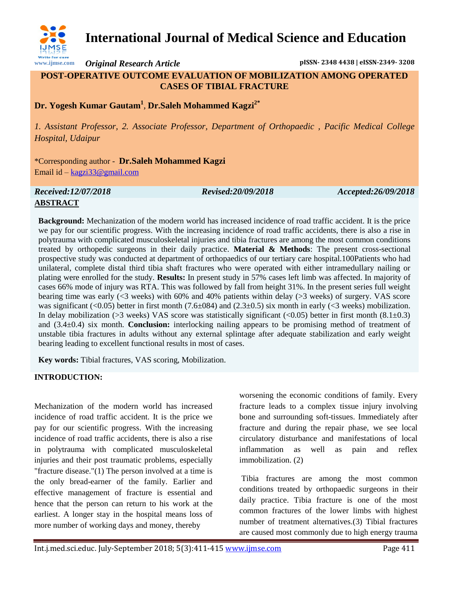

## **International Journal of Medical Science and Education**

*Original Research Article* **pISSN- 2348 4438 | eISSN-2349- 3208**

**POST-OPERATIVE OUTCOME EVALUATION OF MOBILIZATION AMONG OPERATED CASES OF TIBIAL FRACTURE** 

**Dr. Yogesh Kumar Gautam<sup>1</sup>** *,* **Dr.Saleh Mohammed Kagzi2\***

*1. Assistant Professor, 2. Associate Professor, Department of Orthopaedic , Pacific Medical College Hospital, Udaipur*

\*Corresponding author - **Dr.Saleh Mohammed Kagzi** Email id – [kagzi33@gmail.com](mailto:kagzi33@gmail.com)

# *Received:12/07/2018 Revised:20/09/2018 Accepted:26/09/2018*

### **ABSTRACT**

**Background:** Mechanization of the modern world has increased incidence of road traffic accident. It is the price we pay for our scientific progress. With the increasing incidence of road traffic accidents, there is also a rise in polytrauma with complicated musculoskeletal injuries and tibia fractures are among the most common conditions treated by orthopedic surgeons in their daily practice. **Material & Methods**: The present cross-sectional prospective study was conducted at department of orthopaedics of our tertiary care hospital.100Patients who had unilateral, complete distal third tibia shaft fractures who were operated with either intramedullary nailing or plating were enrolled for the study. **Results:** In present study in 57% cases left limb was affected. In majority of cases 66% mode of injury was RTA. This was followed by fall from height 31%. In the present series full weight bearing time was early (<3 weeks) with 60% and 40% patients within delay (>3 weeks) of surgery. VAS score was significant (<0.05) better in first month (7.6 $\pm$ 084) and (2.3 $\pm$ 0.5) six month in early (<3 weeks) mobilization. In delay mobilization (>3 weeks) VAS score was statistically significant (<0.05) better in first month (8.1 $\pm$ 0.3) and (3.4±0.4) six month. **Conclusion:** interlocking nailing appears to be promising method of treatment of unstable tibia fractures in adults without any external splintage after adequate stabilization and early weight bearing leading to excellent functional results in most of cases.

**Key words:** Tibial fractures, VAS scoring, Mobilization.

#### **INTRODUCTION:**

Mechanization of the modern world has increased incidence of road traffic accident. It is the price we pay for our scientific progress. With the increasing incidence of road traffic accidents, there is also a rise in polytrauma with complicated musculoskeletal injuries and their post traumatic problems, especially "fracture disease."(1) The person involved at a time is the only bread-earner of the family. Earlier and effective management of fracture is essential and hence that the person can return to his work at the earliest. A longer stay in the hospital means loss of more number of working days and money, thereby

worsening the economic conditions of family. Every fracture leads to a complex tissue injury involving bone and surrounding soft-tissues. Immediately after fracture and during the repair phase, we see local circulatory disturbance and manifestations of local inflammation as well as pain and reflex immobilization. (2)

Tibia fractures are among the most common conditions treated by orthopaedic surgeons in their daily practice. Tibia fracture is one of the most common fractures of the lower limbs with highest number of treatment alternatives.(3) Tibial fractures are caused most commonly due to high energy trauma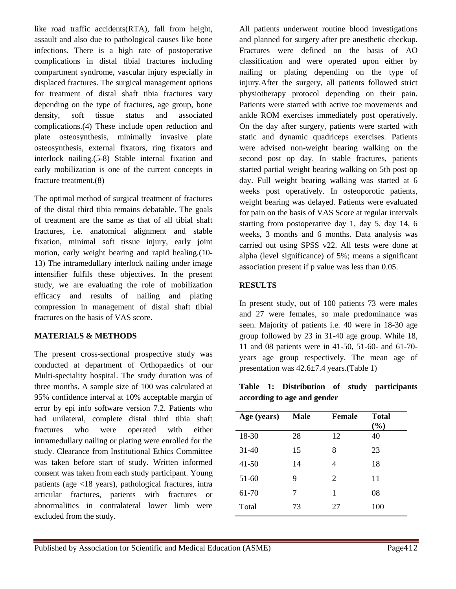like road traffic accidents(RTA), fall from height, assault and also due to pathological causes like bone infections. There is a high rate of postoperative complications in distal tibial fractures including compartment syndrome, vascular injury especially in displaced fractures. The surgical management options for treatment of distal shaft tibia fractures vary depending on the type of fractures, age group, bone density, soft tissue status and associated complications.(4) These include open reduction and plate osteosynthesis, minimally invasive plate osteosynthesis, external fixators, ring fixators and interlock nailing.(5-8) Stable internal fixation and early mobilization is one of the current concepts in fracture treatment.(8)

The optimal method of surgical treatment of fractures of the distal third tibia remains debatable. The goals of treatment are the same as that of all tibial shaft fractures, i.e. anatomical alignment and stable fixation, minimal soft tissue injury, early joint motion, early weight bearing and rapid healing.(10- 13) The intramedullary interlock nailing under image intensifier fulfils these objectives. In the present study, we are evaluating the role of mobilization efficacy and results of nailing and plating compression in management of distal shaft tibial fractures on the basis of VAS score.

#### **MATERIALS & METHODS**

The present cross-sectional prospective study was conducted at department of Orthopaedics of our Multi-speciality hospital. The study duration was of three months. A sample size of 100 was calculated at 95% confidence interval at 10% acceptable margin of error by epi info software version 7.2. Patients who had unilateral, complete distal third tibia shaft fractures who were operated with either intramedullary nailing or plating were enrolled for the study. Clearance from Institutional Ethics Committee was taken before start of study. Written informed consent was taken from each study participant. Young patients (age <18 years), pathological fractures, intra articular fractures, patients with fractures or abnormalities in contralateral lower limb were excluded from the study.

All patients underwent routine blood investigations and planned for surgery after pre anesthetic checkup. Fractures were defined on the basis of AO classification and were operated upon either by nailing or plating depending on the type of injury.After the surgery, all patients followed strict physiotherapy protocol depending on their pain. Patients were started with active toe movements and ankle ROM exercises immediately post operatively. On the day after surgery, patients were started with static and dynamic quadriceps exercises. Patients were advised non-weight bearing walking on the second post op day. In stable fractures, patients started partial weight bearing walking on 5th post op day. Full weight bearing walking was started at 6 weeks post operatively. In osteoporotic patients, weight bearing was delayed. Patients were evaluated for pain on the basis of VAS Score at regular intervals starting from postoperative day 1, day 5, day 14, 6 weeks, 3 months and 6 months. Data analysis was carried out using SPSS v22. All tests were done at alpha (level significance) of 5%; means a significant association present if p value was less than 0.05.

#### **RESULTS**

In present study, out of 100 patients 73 were males and 27 were females, so male predominance was seen. Majority of patients i.e. 40 were in 18-30 age group followed by 23 in 31-40 age group. While 18, 11 and 08 patients were in 41-50, 51-60- and 61-70 years age group respectively. The mean age of presentation was 42.6±7.4 years.(Table 1)

**Table 1: Distribution of study participants according to age and gender**

| Age (years) | Male | <b>Female</b> | <b>Total</b><br>(%) |
|-------------|------|---------------|---------------------|
| 18-30       | 28   | 12            | 40                  |
| $31-40$     | 15   | 8             | 23                  |
| $41 - 50$   | 14   | 4             | 18                  |
| $51-60$     | 9    | 2             | 11                  |
| 61-70       | 7    | 1             | 08                  |
| Total       | 73   | 27            | 100                 |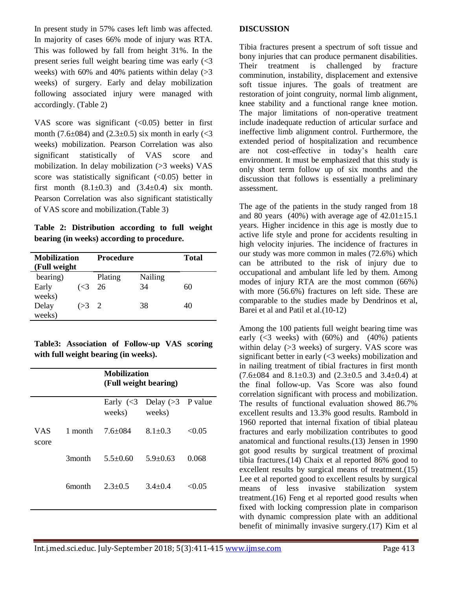In present study in 57% cases left limb was affected. In majority of cases 66% mode of injury was RTA. This was followed by fall from height 31%. In the present series full weight bearing time was early (<3 weeks) with 60% and 40% patients within delay  $(>3$ weeks) of surgery. Early and delay mobilization following associated injury were managed with accordingly. (Table 2)

VAS score was significant  $( $0.05$ ) better in first$ month (7.6 $\pm$ 084) and (2.3 $\pm$ 0.5) six month in early (<3 weeks) mobilization. Pearson Correlation was also significant statistically of VAS score and mobilization. In delay mobilization (>3 weeks) VAS score was statistically significant  $( $0.05$ ) better in$ first month  $(8.1\pm0.3)$  and  $(3.4\pm0.4)$  six month. Pearson Correlation was also significant statistically of VAS score and mobilization.(Table 3)

**Table 2: Distribution according to full weight bearing (in weeks) according to procedure.**

| <b>Mobilization</b><br>(Full weight) |                         | Procedure |         | <b>Total</b> |
|--------------------------------------|-------------------------|-----------|---------|--------------|
| bearing)                             |                         | Plating   | Nailing |              |
| Early                                | $\left( < 3 \right)$ 26 |           | 34      | 60           |
| weeks)<br>Delay<br>weeks)            | $(>3)$ 2                |           | 38      | 40           |

**Table3: Association of Follow-up VAS scoring with full weight bearing (in weeks).**

|               |         | <b>Mobilization</b><br>(Full weight bearing) |                                                                           |        |  |
|---------------|---------|----------------------------------------------|---------------------------------------------------------------------------|--------|--|
|               |         | weeks)                                       | Early $\left(\leq 3\right)$ Delay $\left(\geq 3\right)$ P value<br>weeks) |        |  |
| VAS.<br>score | 1 month | $7.6 + 0.84$                                 | $8.1 + 0.3$                                                               | < 0.05 |  |
|               | 3month  | $5.5 + 0.60$                                 | $5.9 + 0.63$                                                              | 0.068  |  |
|               | 6month- | $2.3 + 0.5$                                  | $3.4 + 0.4$                                                               | < 0.05 |  |
|               |         |                                              |                                                                           |        |  |

#### **DISCUSSION**

Tibia fractures present a spectrum of soft tissue and bony injuries that can produce permanent disabilities. Their treatment is challenged by fracture comminution, instability, displacement and extensive soft tissue injures. The goals of treatment are restoration of joint congruity, normal limb alignment, knee stability and a functional range knee motion. The major limitations of non-operative treatment include inadequate reduction of articular surface and ineffective limb alignment control. Furthermore, the extended period of hospitalization and recumbence are not cost-effective in today's health care environment. It must be emphasized that this study is only short term follow up of six months and the discussion that follows is essentially a preliminary assessment.

The age of the patients in the study ranged from 18 and 80 years  $(40\%)$  with average age of  $42.01\pm15.1$ years. Higher incidence in this age is mostly due to active life style and prone for accidents resulting in high velocity injuries. The incidence of fractures in our study was more common in males (72.6%) which can be attributed to the risk of injury due to occupational and ambulant life led by them. Among modes of injury RTA are the most common (66%) with more (56.6%) fractures on left side. These are comparable to the studies made by Dendrinos et al, Barei et al and Patil et al.(10-12)

Among the 100 patients full weight bearing time was early  $( $3$  weeks) with  $(60\%)$  and  $(40\%)$  patients$ within delay (>3 weeks) of surgery. VAS score was significant better in early (<3 weeks) mobilization and in nailing treatment of tibial fractures in first month  $(7.6\pm084$  and  $8.1\pm0.3)$  and  $(2.3\pm0.5$  and  $3.4\pm0.4)$  at the final follow-up. Vas Score was also found correlation significant with process and mobilization. The results of functional evaluation showed 86.7% excellent results and 13.3% good results. Rambold in 1960 reported that internal fixation of tibial plateau fractures and early mobilization contributes to good anatomical and functional results.(13) Jensen in 1990 got good results by surgical treatment of proximal tibia fractures.(14) Chaix et al reported 86% good to excellent results by surgical means of treatment.(15) Lee et al reported good to excellent results by surgical means of less invasive stabilization system treatment.(16) Feng et al reported good results when fixed with locking compression plate in comparison with dynamic compression plate with an additional benefit of minimally invasive surgery.(17) Kim et al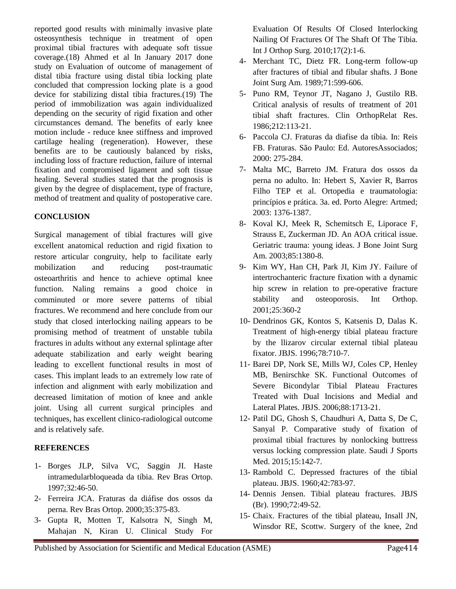reported good results with minimally invasive plate osteosynthesis technique in treatment of open proximal tibial fractures with adequate soft tissue coverage.(18) Ahmed et al In January 2017 done study on Evaluation of outcome of management of distal tibia fracture using distal tibia locking plate concluded that compression locking plate is a good device for stabilizing distal tibia fractures.(19) The period of immobilization was again individualized depending on the security of rigid fixation and other circumstances demand. The benefits of early knee motion include - reduce knee stiffness and improved cartilage healing (regeneration). However, these benefits are to be cautiously balanced by risks, including loss of fracture reduction, failure of internal fixation and compromised ligament and soft tissue healing. Several studies stated that the prognosis is given by the degree of displacement, type of fracture, method of treatment and quality of postoperative care.

#### **CONCLUSION**

Surgical management of tibial fractures will give excellent anatomical reduction and rigid fixation to restore articular congruity, help to facilitate early mobilization and reducing post-traumatic osteoarthritis and hence to achieve optimal knee function. Naling remains a good choice in comminuted or more severe patterns of tibial fractures. We recommend and here conclude from our study that closed interlocking nailing appears to be promising method of treatment of unstable tubila fractures in adults without any external splintage after adequate stabilization and early weight bearing leading to excellent functional results in most of cases. This implant leads to an extremely low rate of infection and alignment with early mobilization and decreased limitation of motion of knee and ankle joint. Using all current surgical principles and techniques, has excellent clinico-radiological outcome and is relatively safe.

#### **REFERENCES**

- 1- Borges JLP, Silva VC, Saggin JI. Haste intramedularbloqueada da tíbia. Rev Bras Ortop. 1997;32:46-50.
- 2- Ferreira JCA. Fraturas da diáfise dos ossos da perna. Rev Bras Ortop. 2000;35:375-83.
- 3- Gupta R, Motten T, Kalsotra N, Singh M, Mahajan N, Kiran U. Clinical Study For

Evaluation Of Results Of Closed Interlocking Nailing Of Fractures Of The Shaft Of The Tibia. Int J Orthop Surg. 2010;17(2):1-6.

- 4- Merchant TC, Dietz FR. Long-term follow-up after fractures of tibial and fibular shafts. J Bone Joint Surg Am. 1989;71:599-606.
- 5- Puno RM, Teynor JT, Nagano J, Gustilo RB. Critical analysis of results of treatment of 201 tibial shaft fractures. Clin OrthopRelat Res. 1986;212:113-21.
- 6- Paccola CJ. Fraturas da diafise da tíbia. In: Reis FB. Fraturas. São Paulo: Ed. AutoresAssociados; 2000: 275-284.
- 7- Malta MC, Barreto JM. Fratura dos ossos da perna no adulto. In: Hebert S, Xavier R, Barros Filho TEP et al. Ortopedia e traumatologia: princípios e prática. 3a. ed. Porto Alegre: Artmed; 2003: 1376-1387.
- 8- Koval KJ, Meek R, Schemitsch E, Liporace F, Strauss E, Zuckerman JD. An AOA critical issue. Geriatric trauma: young ideas. J Bone Joint Surg Am. 2003;85:1380-8.
- 9- Kim WY, Han CH, Park JI, Kim JY. Failure of intertrochanteric fracture fixation with a dynamic hip screw in relation to pre-operative fracture stability and osteoporosis. Int Orthop. 2001;25:360-2
- 10- Dendrinos GK, Kontos S, Katsenis D, Dalas K. Treatment of high-energy tibial plateau fracture by the llizarov circular external tibial plateau fixator. JBJS. 1996;78:710-7.
- 11- Barei DP, Nork SE, Mills WJ, Coles CP, Henley MB, Benirschke SK. Functional Outcomes of Severe Bicondylar Tibial Plateau Fractures Treated with Dual Incisions and Medial and Lateral Plates. JBJS. 2006;88:1713-21.
- 12- Patil DG, Ghosh S, Chaudhuri A, Datta S, De C, Sanyal P. Comparative study of fixation of proximal tibial fractures by nonlocking buttress versus locking compression plate. Saudi J Sports Med. 2015;15:142-7.
- 13- Rambold C. Depressed fractures of the tibial plateau. JBJS. 1960;42:783-97.
- 14- Dennis Jensen. Tibial plateau fractures. JBJS (Br). 1990;72:49-52.
- 15- Chaix. Fractures of the tibial plateau, Insall JN, Winsdor RE, Scottw. Surgery of the knee, 2nd